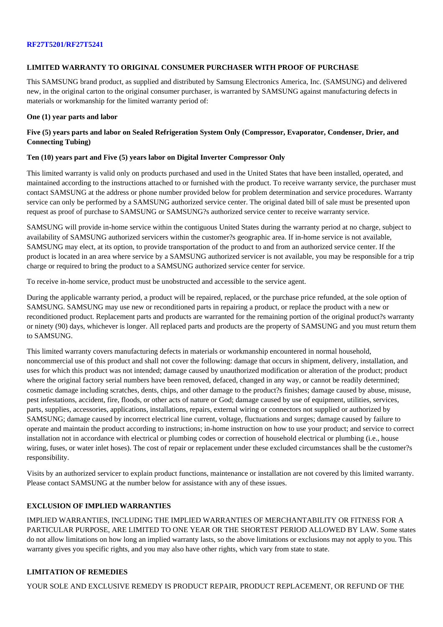### **LIMITED WARRANTY TO ORIGINAL CONSUMER PURCHASER WITH PROOF OF PURCHASE**

This SAMSUNG brand product, as supplied and distributed by Samsung Electronics America, Inc. (SAMSUNG) and delivered new, in the original carton to the original consumer purchaser, is warranted by SAMSUNG against manufacturing defects in materials or workmanship for the limited warranty period of:

#### **One (1) year parts and labor**

# **Five (5) years parts and labor on Sealed Refrigeration System Only (Compressor, Evaporator, Condenser, Drier, and Connecting Tubing)**

### **Ten (10) years part and Five (5) years labor on Digital Inverter Compressor Only**

This limited warranty is valid only on products purchased and used in the United States that have been installed, operated, and maintained according to the instructions attached to or furnished with the product. To receive warranty service, the purchaser must contact SAMSUNG at the address or phone number provided below for problem determination and service procedures. Warranty service can only be performed by a SAMSUNG authorized service center. The original dated bill of sale must be presented upon request as proof of purchase to SAMSUNG or SAMSUNG?s authorized service center to receive warranty service.

SAMSUNG will provide in-home service within the contiguous United States during the warranty period at no charge, subject to availability of SAMSUNG authorized servicers within the customer?s geographic area. If in-home service is not available, SAMSUNG may elect, at its option, to provide transportation of the product to and from an authorized service center. If the product is located in an area where service by a SAMSUNG authorized servicer is not available, you may be responsible for a trip charge or required to bring the product to a SAMSUNG authorized service center for service.

To receive in-home service, product must be unobstructed and accessible to the service agent.

During the applicable warranty period, a product will be repaired, replaced, or the purchase price refunded, at the sole option of SAMSUNG. SAMSUNG may use new or reconditioned parts in repairing a product, or replace the product with a new or reconditioned product. Replacement parts and products are warranted for the remaining portion of the original product?s warranty or ninety (90) days, whichever is longer. All replaced parts and products are the property of SAMSUNG and you must return them to SAMSUNG.

This limited warranty covers manufacturing defects in materials or workmanship encountered in normal household, noncommercial use of this product and shall not cover the following: damage that occurs in shipment, delivery, installation, and uses for which this product was not intended; damage caused by unauthorized modification or alteration of the product; product where the original factory serial numbers have been removed, defaced, changed in any way, or cannot be readily determined; cosmetic damage including scratches, dents, chips, and other damage to the product?s finishes; damage caused by abuse, misuse, pest infestations, accident, fire, floods, or other acts of nature or God; damage caused by use of equipment, utilities, services, parts, supplies, accessories, applications, installations, repairs, external wiring or connectors not supplied or authorized by SAMSUNG; damage caused by incorrect electrical line current, voltage, fluctuations and surges; damage caused by failure to operate and maintain the product according to instructions; in-home instruction on how to use your product; and service to correct installation not in accordance with electrical or plumbing codes or correction of household electrical or plumbing (i.e., house wiring, fuses, or water inlet hoses). The cost of repair or replacement under these excluded circumstances shall be the customer?s responsibility.

Visits by an authorized servicer to explain product functions, maintenance or installation are not covered by this limited warranty. Please contact SAMSUNG at the number below for assistance with any of these issues.

# **EXCLUSION OF IMPLIED WARRANTIES**

IMPLIED WARRANTIES, INCLUDING THE IMPLIED WARRANTIES OF MERCHANTABILITY OR FITNESS FOR A PARTICULAR PURPOSE, ARE LIMITED TO ONE YEAR OR THE SHORTEST PERIOD ALLOWED BY LAW. Some states do not allow limitations on how long an implied warranty lasts, so the above limitations or exclusions may not apply to you. This warranty gives you specific rights, and you may also have other rights, which vary from state to state.

# **LIMITATION OF REMEDIES**

YOUR SOLE AND EXCLUSIVE REMEDY IS PRODUCT REPAIR, PRODUCT REPLACEMENT, OR REFUND OF THE